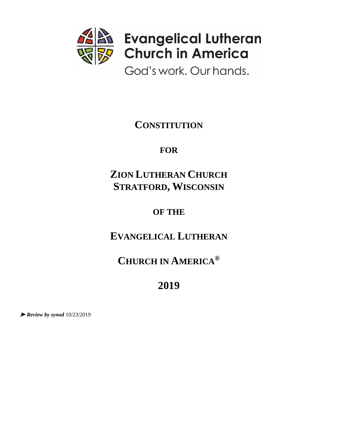

God's work. Our hands.

**CONSTITUTION**

**FOR**

# **ZION LUTHERAN CHURCH STRATFORD, WISCONSIN**

# **OF THE**

# **EVANGELICAL LUTHERAN**

# **CHURCH IN AMERICA®**

# **2019**

➤ *Review by synod* 10/23/2019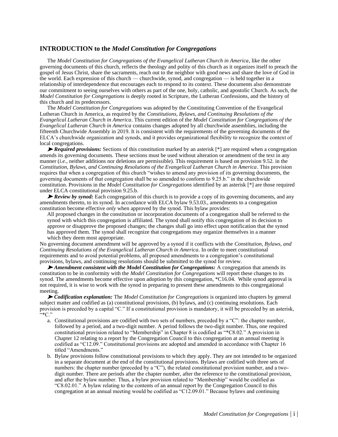#### **INTRODUCTION to the** *Model Constitution for Congregations*

The *Model Constitution for Congregations of the Evangelical Lutheran Church in America*, like the other governing documents of this church, reflects the theology and polity of this church as it organizes itself to preach the gospel of Jesus Christ, share the sacraments, reach out to the neighbor with good news and share the love of God in the world. Each expression of this church — churchwide, synod, and congregation — is held together in a relationship of interdependence that encourages each to respond to its context. These documents also demonstrate our commitment to seeing ourselves with others as part of the one, holy, catholic, and apostolic Church. As such, the *Model Constitution for Congregations* is deeply rooted in Scripture, the Lutheran Confessions, and the history of this church and its predecessors.

The *Model Constitution for Congregations* was adopted by the Constituting Convention of the Evangelical Lutheran Church in America, as required by the *Constitutions, Bylaws, and Continuing Resolutions of the Evangelical Lutheran Church in America*. This current edition of the *Model Constitution for Congregations of the Evangelical Lutheran Church in America* contains changes adopted by all churchwide assemblies, including the fifteenth Churchwide Assembly in 2019. It is consistent with the requirements of the governing documents of the ELCA's churchwide organization and synods, and it provides organizational flexibility to recognize the context of local congregations.

➤ *Required provisions:* Sections of this constitution marked by an asterisk [\*] are required when a congregation amends its governing documents. These sections must be used without alteration or amendment of the text in any manner (*i.e.*, neither additions nor deletions are permissible). This requirement is based on provision 9.52. in the *Constitution, Bylaws, and Continuing Resolutions of the Evangelical Lutheran Church in America*. This provision requires that when a congregation of this church "wishes to amend any provision of its governing documents, the governing documents of that congregation shall be so amended to conform to 9.25.b." in the churchwide constitution. Provisions in the *Model Constitution for Congregations* identified by an asterisk [\*] are those required under ELCA constitutional provision 9.25.b.

► *Review by synod:* Each congregation of this church is to provide a copy of its governing documents, and any amendments thereto, to its synod. In accordance with ELCA bylaw 9.53.03., amendments to a congregation constitution become effective *only* when approved by the synod. This bylaw provides:

All proposed changes in the constitution or incorporation documents of a congregation shall be referred to the synod with which this congregation is affiliated. The synod shall notify this congregation of its decision to approve or disapprove the proposed changes; the changes shall go into effect upon notification that the synod has approved them. The synod shall recognize that congregations may organize themselves in a manner which they deem most appropriate.

No governing document amendment will be approved by a synod if it conflicts with the *Constitution, Bylaws, and Continuing Resolutions of the Evangelical Lutheran Church in America*. In order to meet constitutional requirements and to avoid potential problems, all proposed amendments to a congregation's constitutional provisions, bylaws, and continuing resolutions should be submitted to the synod for review.

➤ *Amendment consistent with the Model Constitution for Congregations:* A congregation that amends its constitution to be in conformity with the *Model Constitution for Congregations* will report these changes to its synod. The amendments become effective upon adoption by this congregation, \*C16.04. While synod approval is not required, it is wise to work with the synod in preparing to present these amendments to this congregational meeting.

➤ *Codification explanation:* The *Model Constitution for Congregations* is organized into chapters by general subject matter and codified as (a) constitutional provisions, (b) bylaws, and (c) continuing resolutions. Each provision is preceded by a capital "C." If a constitutional provision is mandatory, it will be preceded by an asterisk,  $\left\langle \cdot \right\rangle ^{*}C$ ."

- a. Constitutional provisions are codified with two sets of numbers, preceded by a "C": the chapter number, followed by a period, and a two-digit number. A period follows the two-digit number. Thus, one required constitutional provision related to "Membership" in Chapter 8 is codified as "\*C8.02." A provision in Chapter 12 relating to a report by the Congregation Council to this congregation at an annual meeting is codified as "C12.09." Constitutional provisions are adopted and amended in accordance with Chapter 16 titled "Amendments."
- b. Bylaw provisions follow constitutional provisions to which they apply. They are not intended to be organized in a separate document at the end of the constitutional provisions. Bylaws are codified with three sets of numbers: the chapter number (preceded by a "C"), the related constitutional provision number, and a twodigit number. There are periods after the chapter number, after the reference to the constitutional provision, and after the bylaw number. Thus, a bylaw provision related to "Membership" would be codified as "C8.02.01." A bylaw relating to the contents of an annual report by the Congregation Council to this congregation at an annual meeting would be codified as "C12.09.01." Because bylaws and continuing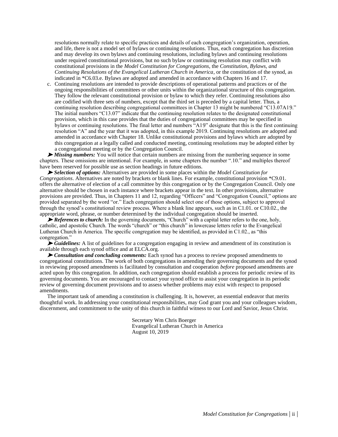resolutions normally relate to specific practices and details of each congregation's organization, operation, and life, there is not a model set of bylaws or continuing resolutions. Thus, each congregation has discretion and may develop its own bylaws and continuing resolutions, including bylaws and continuing resolutions under required constitutional provisions, but no such bylaw or continuing resolution may conflict with constitutional provisions in the *Model Constitution for Congregations*, the *Constitution, Bylaws, and Continuing Resolutions of the Evangelical Lutheran Church in America*, or the constitution of the synod, as indicated in \*C6.03.e. Bylaws are adopted and amended in accordance with Chapters 16 and 17.

c. Continuing resolutions are intended to provide descriptions of operational patterns and practices or of the ongoing responsibilities of committees or other units within the organizational structure of this congregation. They follow the relevant constitutional provision or bylaw to which they refer. Continuing resolutions also are codified with three sets of numbers, except that the third set is preceded by a capital letter. Thus, a continuing resolution describing congregational committees in Chapter 13 might be numbered "C13.07A19." The initial numbers "C13.07" indicate that the continuing resolution relates to the designated constitutional provision, which in this case provides that the duties of congregational committees may be specified in bylaws or continuing resolutions. The final letter and numbers "A19" designate that this is the first continuing resolution "A" and the year that it was adopted, in this example 2019. Continuing resolutions are adopted and amended in accordance with Chapter 18. Unlike constitutional provisions and bylaws which are adopted by this congregation at a legally called and conducted meeting, continuing resolutions may be adopted either by a congregational meeting or by the Congregation Council.

➤ *Missing numbers:* You will notice that certain numbers are missing from the numbering sequence in some chapters. These omissions are intentional. For example, in some chapters the number ".10." and multiples thereof have been reserved for possible use as section headings in future editions.

➤ *Selection of options:* Alternatives are provided in some places within the *Model Constitution for Congregations*. Alternatives are noted by brackets or blank lines. For example, constitutional provision \*C9.01. offers the alternative of election of a call committee by this congregation or by the Congregation Council. Only one alternative should be chosen in each instance where brackets appear in the text. In other provisions, alternative provisions are provided. Thus, in Chapters 11 and 12, regarding "Officers" and "Congregation Council," options are provided separated by the word "or." Each congregation should select one of those options, subject to approval through the synod's constitutional review process. Where a blank line appears, such as in C1.01. or C10.02., the appropriate word, phrase, or number determined by the individual congregation should be inserted.

► *References to church:* In the governing documents, "Church" with a capital letter refers to the one, holy, catholic, and apostolic Church. The words "church" or "this church" in lowercase letters refer to the Evangelical Lutheran Church in America. The specific congregation may be identified, as provided in C1.02., as "this congregation."

► Guidelines: A list of guidelines for a congregation engaging in review and amendment of its constitution is available through each synod office and at ELCA.org.

➤ *Consultation and concluding comments:* Each synod has a process to review proposed amendments to congregational constitutions. The work of both congregations in amending their governing documents and the synod in reviewing proposed amendments is facilitated by consultation and cooperation *before* proposed amendments are acted upon by this congregation. In addition, each congregation should establish a process for periodic review of its governing documents. You are encouraged to contact your synod office to assist your congregation in its periodic review of governing document provisions and to assess whether problems may exist with respect to proposed amendments.

The important task of amending a constitution is challenging. It is, however, an essential endeavor that merits thoughtful work. In addressing your constitutional responsibilities, may God grant you and your colleagues wisdom, discernment, and commitment to the unity of this church in faithful witness to our Lord and Savior, Jesus Christ.

> Secretary Wm Chris Boerger Evangelical Lutheran Church in America August 10, 2019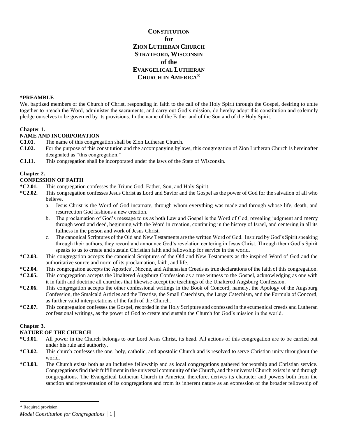**CONSTITUTION for ZION LUTHERAN CHURCH STRATFORD, WISCONSIN of the EVANGELICAL LUTHERAN CHURCH IN AMERICA®**

#### **\*PREAMBLE**\*

We, baptized members of the Church of Christ, responding in faith to the call of the Holy Spirit through the Gospel, desiring to unite together to preach the Word, administer the sacraments, and carry out God's mission, do hereby adopt this constitution and solemnly pledge ourselves to be governed by its provisions. In the name of the Father and of the Son and of the Holy Spirit.

#### **Chapter 1.**

#### **NAME AND INCORPORATION**

- **C1.01.** The name of this congregation shall be Zion Lutheran Church.
- **C1.02.** For the purpose of this constitution and the accompanying bylaws, this congregation of Zion Lutheran Church is hereinafter designated as "this congregation."
- **C1.11.** This congregation shall be incorporated under the laws of the State of Wisconsin.

#### **Chapter 2.**

#### **CONFESSION OF FAITH**

- **\*C2.01.** This congregation confesses the Triune God, Father, Son, and Holy Spirit.
- **\*C2.02.** This congregation confesses Jesus Christ as Lord and Savior and the Gospel as the power of God for the salvation of all who believe.
	- a. Jesus Christ is the Word of God incarnate, through whom everything was made and through whose life, death, and resurrection God fashions a new creation.
	- b. The proclamation of God's message to us as both Law and Gospel is the Word of God, revealing judgment and mercy through word and deed, beginning with the Word in creation, continuing in the history of Israel, and centering in all its fullness in the person and work of Jesus Christ.
	- c. The canonical Scriptures of the Old and New Testaments are the written Word of God. Inspired by God's Spirit speaking through their authors, they record and announce God's revelation centering in Jesus Christ. Through them God's Spirit speaks to us to create and sustain Christian faith and fellowship for service in the world.
- **\*C2.03.** This congregation accepts the canonical Scriptures of the Old and New Testaments as the inspired Word of God and the authoritative source and norm of its proclamation, faith, and life.
- **\*C2.04.** This congregation accepts the Apostles', Nicene, and Athanasian Creeds as true declarations of the faith of this congregation.
- **\*C2.05.** This congregation accepts the Unaltered Augsburg Confession as a true witness to the Gospel, acknowledging as one with it in faith and doctrine all churches that likewise accept the teachings of the Unaltered Augsburg Confession.
- **\*C2.06.** This congregation accepts the other confessional writings in the Book of Concord, namely, the Apology of the Augsburg Confession, the Smalcald Articles and the Treatise, the Small Catechism, the Large Catechism, and the Formula of Concord, as further valid interpretations of the faith of the Church.
- **\*C2.07.** This congregation confesses the Gospel, recorded in the Holy Scripture and confessed in the ecumenical creeds and Lutheran confessional writings, as the power of God to create and sustain the Church for God's mission in the world.

#### **Chapter 3.**

#### **NATURE OF THE CHURCH**

- **\*C3.01.** All power in the Church belongs to our Lord Jesus Christ, its head. All actions of this congregation are to be carried out under his rule and authority.
- **\*C3.02.** This church confesses the one, holy, catholic, and apostolic Church and is resolved to serve Christian unity throughout the world.
- **\*C3.03.** The Church exists both as an inclusive fellowship and as local congregations gathered for worship and Christian service. Congregations find their fulfillment in the universal community of the Church, and the universal Church exists in and through congregations. The Evangelical Lutheran Church in America, therefore, derives its character and powers both from the sanction and representation of its congregations and from its inherent nature as an expression of the broader fellowship of

<sup>\*</sup> Required provision

*Model Constitution for Congregations |* 1 |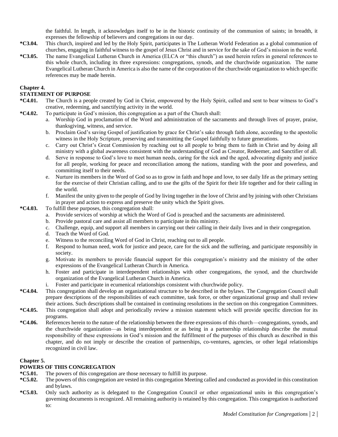the faithful. In length, it acknowledges itself to be in the historic continuity of the communion of saints; in breadth, it expresses the fellowship of believers and congregations in our day.

- **\*C3.04.** This church, inspired and led by the Holy Spirit, participates in The Lutheran World Federation as a global communion of churches, engaging in faithful witness to the gospel of Jesus Christ and in service for the sake of God's mission in the world.
- **\*C3.05.** The name Evangelical Lutheran Church in America (ELCA or "this church") as used herein refers in general references to this whole church, including its three expressions: congregations, synods, and the churchwide organization. The name Evangelical Lutheran Church in America is also the name of the corporation of the churchwide organization to which specific references may be made herein.

## **Chapter 4.**

## **STATEMENT OF PURPOSE**

- **\*C4.01.** The Church is a people created by God in Christ, empowered by the Holy Spirit, called and sent to bear witness to God's creative, redeeming, and sanctifying activity in the world.
- **\*C4.02.** To participate in God's mission, this congregation as a part of the Church shall:
	- a. Worship God in proclamation of the Word and administration of the sacraments and through lives of prayer, praise, thanksgiving, witness, and service.
	- b. Proclaim God's saving Gospel of justification by grace for Christ's sake through faith alone, according to the apostolic witness in the Holy Scripture, preserving and transmitting the Gospel faithfully to future generations.
	- c. Carry out Christ's Great Commission by reaching out to all people to bring them to faith in Christ and by doing all ministry with a global awareness consistent with the understanding of God as Creator, Redeemer, and Sanctifier of all.
	- d. Serve in response to God's love to meet human needs, caring for the sick and the aged, advocating dignity and justice for all people, working for peace and reconciliation among the nations, standing with the poor and powerless, and committing itself to their needs.
	- e. Nurture its members in the Word of God so as to grow in faith and hope and love, to see daily life as the primary setting for the exercise of their Christian calling, and to use the gifts of the Spirit for their life together and for their calling in the world.
	- f. Manifest the unity given to the people of God by living together in the love of Christ and by joining with other Christians in prayer and action to express and preserve the unity which the Spirit gives.
- **\*C4.03.** To fulfill these purposes, this congregation shall:
	- a. Provide services of worship at which the Word of God is preached and the sacraments are administered.
	- b. Provide pastoral care and assist all members to participate in this ministry.
	- c. Challenge, equip, and support all members in carrying out their calling in their daily lives and in their congregation.
	- d. Teach the Word of God.
	- e. Witness to the reconciling Word of God in Christ, reaching out to all people.
	- f. Respond to human need, work for justice and peace, care for the sick and the suffering, and participate responsibly in society.
	- g. Motivate its members to provide financial support for this congregation's ministry and the ministry of the other expressions of the Evangelical Lutheran Church in America.
	- h. Foster and participate in interdependent relationships with other congregations, the synod, and the churchwide organization of the Evangelical Lutheran Church in America.
	- i. Foster and participate in ecumenical relationships consistent with churchwide policy.
- **\*C4.04.** This congregation shall develop an organizational structure to be described in the bylaws. The Congregation Council shall prepare descriptions of the responsibilities of each committee, task force, or other organizational group and shall review their actions. Such descriptions shall be contained in continuing resolutions in the section on this congregation Committees.
- **\*C4.05.** This congregation shall adopt and periodically review a mission statement which will provide specific direction for its programs.
- **\*C4.06.** References herein to the nature of the relationship between the three expressions of this church—congregations, synods, and the churchwide organization—as being interdependent or as being in a partnership relationship describe the mutual responsibility of these expressions in God's mission and the fulfillment of the purposes of this church as described in this chapter, and do not imply or describe the creation of partnerships, co-ventures, agencies, or other legal relationships recognized in civil law.

# **Chapter 5.**

# **POWERS OF THIS CONGREGATION**

- **\*C5.01.** The powers of this congregation are those necessary to fulfill its purpose.
- **\*C5.02.** The powers of this congregation are vested in this congregation Meeting called and conducted as provided in this constitution and bylaws.
- **\*C5.03.** Only such authority as is delegated to the Congregation Council or other organizational units in this congregation's governing documents is recognized. All remaining authority is retained by this congregation. This congregation is authorized to: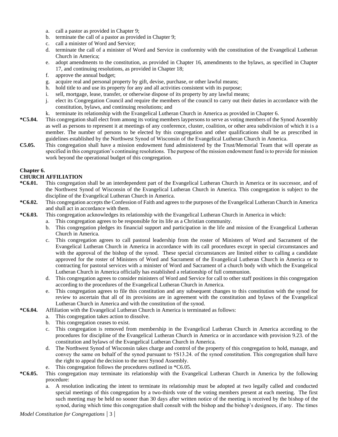- a. call a pastor as provided in Chapter 9;
- b. terminate the call of a pastor as provided in Chapter 9;
- c. call a minister of Word and Service;
- d. terminate the call of a minister of Word and Service in conformity with the constitution of the Evangelical Lutheran Church in America;
- e. adopt amendments to the constitution, as provided in Chapter 16, amendments to the bylaws, as specified in Chapter 17, and continuing resolutions, as provided in Chapter 18;
- f. approve the annual budget;
- g. acquire real and personal property by gift, devise, purchase, or other lawful means;
- h. hold title to and use its property for any and all activities consistent with its purpose;
- i. sell, mortgage, lease, transfer, or otherwise dispose of its property by any lawful means;
- j. elect its Congregation Council and require the members of the council to carry out their duties in accordance with the constitution, bylaws, and continuing resolutions; and
- k. terminate its relationship with the Evangelical Lutheran Church in America as provided in Chapter 6.
- **\*C5.04.** This congregation shall elect from among its voting members laypersons to serve as voting members of the Synod Assembly as well as persons to represent it at meetings of any conference, cluster, coalition, or other area subdivision of which it is a member. The number of persons to be elected by this congregation and other qualifications shall be as prescribed in guidelines established by the Northwest Synod of Wisconsin of the Evangelical Lutheran Church in America.
- **C5.05.** This congregation shall have a mission endowment fund administered by the Trust/Memorial Team that will operate as specified in this congregation's continuing resolutions. The purpose of the mission endowment fund is to provide for mission work beyond the operational budget of this congregation.

#### **Chapter 6.**

#### **CHURCH AFFILIATION**

- **\*C6.01.** This congregation shall be an interdependent part of the Evangelical Lutheran Church in America or its successor, and of the Northwest Synod of Wisconsin of the Evangelical Lutheran Church in America. This congregation is subject to the discipline of the Evangelical Lutheran Church in America.
- **\*C6.02.** This congregation accepts the Confession of Faith and agrees to the purposes of the Evangelical Lutheran Church in America and shall act in accordance with them.
- **\*C6.03.** This congregation acknowledges its relationship with the Evangelical Lutheran Church in America in which:
	- a. This congregation agrees to be responsible for its life as a Christian community.
	- b. This congregation pledges its financial support and participation in the life and mission of the Evangelical Lutheran Church in America.
	- c. This congregation agrees to call pastoral leadership from the roster of Ministers of Word and Sacrament of the Evangelical Lutheran Church in America in accordance with its call procedures except in special circumstances and with the approval of the bishop of the synod. These special circumstances are limited either to calling a candidate approved for the roster of Ministers of Word and Sacrament of the Evangelical Lutheran Church in America or to contracting for pastoral services with a minister of Word and Sacrament of a church body with which the Evangelical Lutheran Church in America officially has established a relationship of full communion.
	- d. This congregation agrees to consider ministers of Word and Service for call to other staff positions in this congregation according to the procedures of the Evangelical Lutheran Church in America.
	- e. This congregation agrees to file this constitution and any subsequent changes to this constitution with the synod for review to ascertain that all of its provisions are in agreement with the constitution and bylaws of the Evangelical Lutheran Church in America and with the constitution of the synod.
- **\*C6.04.** Affiliation with the Evangelical Lutheran Church in America is terminated as follows:
	- a. This congregation takes action to dissolve.
		- b. This congregation ceases to exist.
		- c. This congregation is removed from membership in the Evangelical Lutheran Church in America according to the procedures for discipline of the Evangelical Lutheran Church in America or in accordance with provision 9.23. of the constitution and bylaws of the Evangelical Lutheran Church in America.
		- d. The Northwest Synod of Wisconsin takes charge and control of the property of this congregation to hold, manage, and convey the same on behalf of the synod pursuant to †S13.24. of the synod constitution. This congregation shall have the right to appeal the decision to the next Synod Assembly.
		- e. This congregation follows the procedures outlined in \*C6.05.
- **\*C6.05.** This congregation may terminate its relationship with the Evangelical Lutheran Church in America by the following procedure:
	- a. A resolution indicating the intent to terminate its relationship must be adopted at two legally called and conducted special meetings of this congregation by a two-thirds vote of the voting members present at each meeting. The first such meeting may be held no sooner than 30 days after written notice of the meeting is received by the bishop of the synod, during which time this congregation shall consult with the bishop and the bishop's designees, if any. The times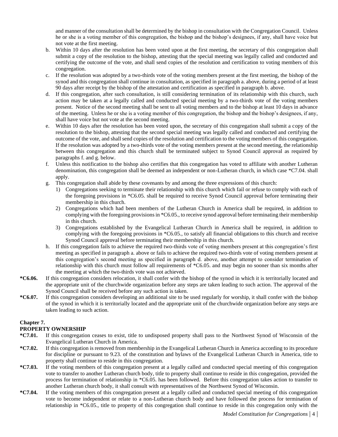and manner of the consultation shall be determined by the bishop in consultation with the Congregation Council. Unless he or she is a voting member of this congregation, the bishop and the bishop's designees, if any, shall have voice but not vote at the first meeting.

- b. Within 10 days after the resolution has been voted upon at the first meeting, the secretary of this congregation shall submit a copy of the resolution to the bishop, attesting that the special meeting was legally called and conducted and certifying the outcome of the vote, and shall send copies of the resolution and certification to voting members of this congregation.
- c. If the resolution was adopted by a two-thirds vote of the voting members present at the first meeting, the bishop of the synod and this congregation shall continue in consultation, as specified in paragraph a. above, during a period of at least 90 days after receipt by the bishop of the attestation and certification as specified in paragraph b. above.
- d. If this congregation, after such consultation, is still considering termination of its relationship with this church, such action may be taken at a legally called and conducted special meeting by a two-thirds vote of the voting members present. Notice of the second meeting shall be sent to all voting members and to the bishop at least 10 days in advance of the meeting. Unless he or she is a voting member of this congregation, the bishop and the bishop's designees, if any, shall have voice but not vote at the second meeting.
- e. Within 10 days after the resolution has been voted upon, the secretary of this congregation shall submit a copy of the resolution to the bishop, attesting that the second special meeting was legally called and conducted and certifying the outcome of the vote, and shall send copies of the resolution and certification to the voting members of this congregation. If the resolution was adopted by a two-thirds vote of the voting members present at the second meeting, the relationship between this congregation and this church shall be terminated subject to Synod Council approval as required by paragraphs f. and g. below.
- f. Unless this notification to the bishop also certifies that this congregation has voted to affiliate with another Lutheran denomination, this congregation shall be deemed an independent or non-Lutheran church, in which case \*C7.04. shall apply.
- g. This congregation shall abide by these covenants by and among the three expressions of this church:
	- 1) Congregations seeking to terminate their relationship with this church which fail or refuse to comply with each of the foregoing provisions in \*C6.05. shall be required to receive Synod Council approval before terminating their membership in this church.
	- 2) Congregations which had been members of the Lutheran Church in America shall be required, in addition to complying with the foregoing provisions in \*C6.05., to receive synod approval before terminating their membership in this church.
	- 3) Congregations established by the Evangelical Lutheran Church in America shall be required, in addition to complying with the foregoing provisions in \*C6.05., to satisfy all financial obligations to this church and receive Synod Council approval before terminating their membership in this church.
- h. If this congregation fails to achieve the required two-thirds vote of voting members present at this congregation's first meeting as specified in paragraph a. above or fails to achieve the required two-thirds vote of voting members present at this congregation's second meeting as specified in paragraph d. above, another attempt to consider termination of relationship with this church must follow all requirements of \*C6.05. and may begin no sooner than six months after the meeting at which the two-thirds vote was not achieved.
- **\*C6.06.** If this congregation considers relocation, it shall confer with the bishop of the synod in which it is territorially located and the appropriate unit of the churchwide organization before any steps are taken leading to such action. The approval of the Synod Council shall be received before any such action is taken.
- **\*C6.07.** If this congregation considers developing an additional site to be used regularly for worship, it shall confer with the bishop of the synod in which it is territorially located and the appropriate unit of the churchwide organization before any steps are taken leading to such action.

# **Chapter 7.**

# **PROPERTY OWNERSHIP**

- **\*C7.01.** If this congregation ceases to exist, title to undisposed property shall pass to the Northwest Synod of Wisconsin of the Evangelical Lutheran Church in America.
- **\*C7.02.** If this congregation is removed from membership in the Evangelical Lutheran Church in America according to its procedure for discipline or pursuant to 9.23. of the constitution and bylaws of the Evangelical Lutheran Church in America, title to property shall continue to reside in this congregation.
- **\*C7.03.** If the voting members of this congregation present at a legally called and conducted special meeting of this congregation vote to transfer to another Lutheran church body, title to property shall continue to reside in this congregation, provided the process for termination of relationship in \*C6.05. has been followed. Before this congregation takes action to transfer to another Lutheran church body, it shall consult with representatives of the Northwest Synod of Wisconsin.
- **\*C7.04.** If the voting members of this congregation present at a legally called and conducted special meeting of this congregation vote to become independent or relate to a non-Lutheran church body and have followed the process for termination of relationship in \*C6.05., title to property of this congregation shall continue to reside in this congregation only with the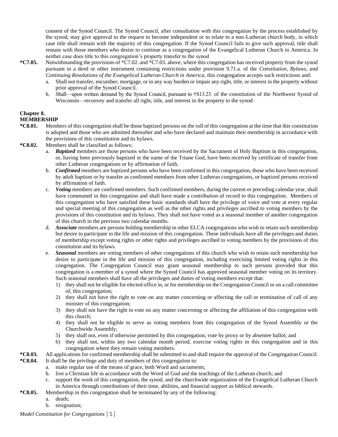consent of the Synod Council. The Synod Council, after consultation with this congregation by the process established by the synod, may give approval to the request to become independent or to relate to a non-Lutheran church body, in which case title shall remain with the majority of this congregation. If the Synod Council fails to give such approval, title shall remain with those members who desire to continue as a congregation of the Evangelical Lutheran Church in America. In neither case does title to this congregation's property transfer to the synod

- **\*C7.05.** Notwithstanding the provisions of \*C7.02. and \*C7.03. above, where this congregation has received property from the synod pursuant to a deed or other instrument containing restrictions under provision 9.71.a. of the *Constitution, Bylaws, and Continuing Resolutions of the Evangelical Lutheran Church in America*, this congregation accepts such restrictions and:
	- a. Shall not transfer, encumber, mortgage, or in any way burden or impair any right, title, or interest in the property without prior approval of the Synod Council.
	- b. Shall—upon written demand by the Synod Council, pursuant to †S13.23. of the constitution of the Northwest Synod of Wisconsin—reconvey and transfer all right, title, and interest in the property to the synod.

# **Chapter 8.**

#### **MEMBERSHIP**

- **\*C8.01.** Members of this congregation shall be those baptized persons on the roll of this congregation at the time that this constitution is adopted and those who are admitted thereafter and who have declared and maintain their membership in accordance with the provisions of this constitution and its bylaws.
- **\*C8.02.** Members shall be classified as follows:
	- a. *Baptized* members are those persons who have been received by the Sacrament of Holy Baptism in this congregation, or, having been previously baptized in the name of the Triune God, have been received by certificate of transfer from other Lutheran congregations or by affirmation of faith.
	- b. *Confirmed* members are baptized persons who have been confirmed in this congregation, those who have been received by adult baptism or by transfer as confirmed members from other Lutheran congregations, or baptized persons received by affirmation of faith.
	- c. *Voting* members are confirmed members. Such confirmed members, during the current or preceding calendar year, shall have communed in this congregation and shall have made a contribution of record to this congregation. Members of this congregation who have satisfied these basic standards shall have the privilege of voice and vote at every regular and special meeting of this congregation as well as the other rights and privileges ascribed to voting members by the provisions of this constitution and its bylaws. They shall not have voted as a seasonal member of another congregation of this church in the previous two calendar months.
	- d. *Associate* members are persons holding membership in other ELCA congregations who wish to retain such membership but desire to participate in the life and mission of this congregation. These individuals have all the privileges and duties of membership except voting rights or other rights and privileges ascribed to voting members by the provisions of this constitution and its bylaws.
	- e. *Seasonal* members are voting members of other congregations of this church who wish to retain such membership but desire to participate in the life and mission of this congregation, including exercising limited voting rights in this congregation. The Congregation Council may grant seasonal membership to such persons provided that this congregation is a member of a synod where the Synod Council has approved seasonal member voting on its territory. Such seasonal members shall have all the privileges and duties of voting members except that:
		- 1) they shall not be eligible for elected office in, or for membership on the Congregation Council or on a call committee of, this congregation;
		- 2) they shall not have the right to vote on any matter concerning or affecting the call or termination of call of any minister of this congregation;
		- 3) they shall not have the right to vote on any matter concerning or affecting the affiliation of this congregation with this church;
		- 4) they shall not be eligible to serve as voting members from this congregation of the Synod Assembly or the Churchwide Assembly;
		- 5) they shall not, even if otherwise permitted by this congregation, vote by proxy or by absentee ballot; and
		- 6) they shall not, within any two calendar month period, exercise voting rights in this congregation and in this congregation where they remain voting members.

# **\*C8.03.** All applications for confirmed membership shall be submitted to and shall require the approval of the Congregation Council.

- **\*C8.04.** It shall be the privilege and duty of members of this congregation to:
	- a. make regular use of the means of grace, both Word and sacraments;
	- b. live a Christian life in accordance with the Word of God and the teachings of the Lutheran church; and
	- c. support the work of this congregation, the synod, and the churchwide organization of the Evangelical Lutheran Church in America through contributions of their time, abilities, and financial support as biblical stewards.
- **\*C8.05.** Membership in this congregation shall be terminated by any of the following:
	- a. death;
		- b. resignation;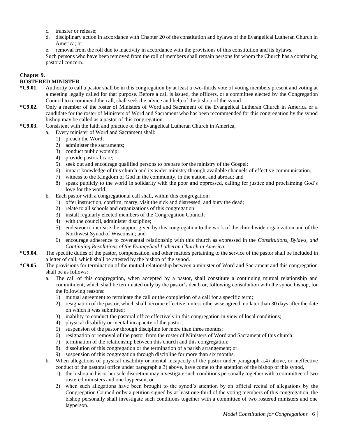- c. transfer or release;
- d. disciplinary action in accordance with Chapter 20 of the constitution and bylaws of the Evangelical Lutheran Church in America; or

e. removal from the roll due to inactivity in accordance with the provisions of this constitution and its bylaws. Such persons who have been removed from the roll of members shall remain persons for whom the Church has a continuing pastoral concern.

#### **Chapter 9.**

## **ROSTERED MINISTER**

- **\*C9.01.** Authority to call a pastor shall be in this congregation by at least a two-thirds vote of voting members present and voting at a meeting legally called for that purpose. Before a call is issued, the officers, or a committee elected by the Congregation Council to recommend the call, shall seek the advice and help of the bishop of the synod.
- **\*C9.02.** Only a member of the roster of Ministers of Word and Sacrament of the Evangelical Lutheran Church in America or a candidate for the roster of Ministers of Word and Sacrament who has been recommended for this congregation by the synod bishop may be called as a pastor of this congregation.
- **\*C9.03.** Consistent with the faith and practice of the Evangelical Lutheran Church in America,
	- a. Every minister of Word and Sacrament shall:
		- 1) preach the Word;
		- 2) administer the sacraments;
		- 3) conduct public worship;
		- 4) provide pastoral care;
		- 5) seek out and encourage qualified persons to prepare for the ministry of the Gospel;
		- 6) impart knowledge of this church and its wider ministry through available channels of effective communication;
		- 7) witness to the Kingdom of God in the community, in the nation, and abroad; and
		- 8) speak publicly to the world in solidarity with the poor and oppressed, calling for justice and proclaiming God's love for the world.
	- b. Each pastor with a congregational call shall, within this congregation:
		- 1) offer instruction, confirm, marry, visit the sick and distressed, and bury the dead;
		- 2) relate to all schools and organizations of this congregation;
		- 3) install regularly elected members of the Congregation Council;
		- 4) with the council, administer discipline;
		- 5) endeavor to increase the support given by this congregation to the work of the churchwide organization and of the Northwest Synod of Wisconsin; and
		- 6) encourage adherence to covenantal relationship with this church as expressed in the *Constitutions, Bylaws, and Continuing Resolutions of the Evangelical Lutheran Church in America.*
- **\*C9.04.** The specific duties of the pastor, compensation, and other matters pertaining to the service of the pastor shall be included in a letter of call, which shall be attested by the bishop of the synod.
- **\*C9.05.** The provisions for termination of the mutual relationship between a minister of Word and Sacrament and this congregation shall be as follows:
	- a. The call of this congregation, when accepted by a pastor, shall constitute a continuing mutual relationship and commitment, which shall be terminated only by the pastor's death or, following consultation with the synod bishop, for the following reasons:
		- 1) mutual agreement to terminate the call or the completion of a call for a specific term;
		- 2) resignation of the pastor, which shall become effective, unless otherwise agreed, no later than 30 days after the date on which it was submitted;
		- 3) inability to conduct the pastoral office effectively in this congregation in view of local conditions;
		- 4) physical disability or mental incapacity of the pastor;
		- 5) suspension of the pastor through discipline for more than three months;
		- 6) resignation or removal of the pastor from the roster of Ministers of Word and Sacrament of this church;
		- 7) termination of the relationship between this church and this congregation;
		- 8) dissolution of this congregation or the termination of a parish arrangement; or
		- 9) suspension of this congregation through discipline for more than six months.
	- b. When allegations of physical disability or mental incapacity of the pastor under paragraph a.4) above, or ineffective conduct of the pastoral office under paragraph a.3) above, have come to the attention of the bishop of this synod,
		- 1) the bishop in his or her sole discretion may investigate such conditions personally together with a committee of two rostered ministers and one layperson, or
		- 2) when such allegations have been brought to the synod's attention by an official recital of allegations by the Congregation Council or by a petition signed by at least one-third of the voting members of this congregation, the bishop personally shall investigate such conditions together with a committee of two rostered ministers and one layperson.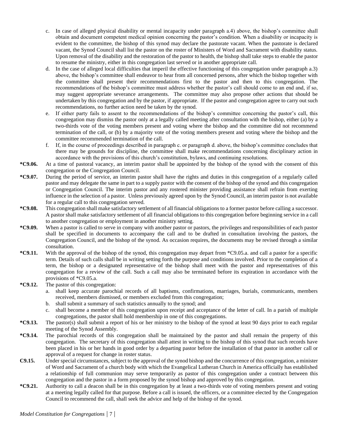- c. In case of alleged physical disability or mental incapacity under paragraph a.4) above, the bishop's committee shall obtain and document competent medical opinion concerning the pastor's condition. When a disability or incapacity is evident to the committee, the bishop of this synod may declare the pastorate vacant. When the pastorate is declared vacant, the Synod Council shall list the pastor on the roster of Ministers of Word and Sacrament with disability status. Upon removal of the disability and the restoration of the pastor to health, the bishop shall take steps to enable the pastor to resume the ministry, either in this congregation last served or in another appropriate call.
- d. In the case of alleged local difficulties that imperil the effective functioning of this congregation under paragraph a.3) above, the bishop's committee shall endeavor to hear from all concerned persons, after which the bishop together with the committee shall present their recommendations first to the pastor and then to this congregation. The recommendations of the bishop's committee must address whether the pastor's call should come to an end and, if so, may suggest appropriate severance arrangements. The committee may also propose other actions that should be undertaken by this congregation and by the pastor, if appropriate. If the pastor and congregation agree to carry out such recommendations, no further action need be taken by the synod.
- e. If either party fails to assent to the recommendations of the bishop's committee concerning the pastor's call, this congregation may dismiss the pastor only at a legally called meeting after consultation with the bishop, either (a) by a two-thirds vote of the voting members present and voting where the bishop and the committee did not recommend termination of the call, or (b) by a majority vote of the voting members present and voting where the bishop and the committee recommended termination of the call.
- f. If, in the course of proceedings described in paragraph c. or paragraph d. above, the bishop's committee concludes that there may be grounds for discipline, the committee shall make recommendations concerning disciplinary action in accordance with the provisions of this church's constitution, bylaws, and continuing resolutions.
- **\*C9.06.** At a time of pastoral vacancy, an interim pastor shall be appointed by the bishop of the synod with the consent of this congregation or the Congregation Council.
- **\*C9.07.** During the period of service, an interim pastor shall have the rights and duties in this congregation of a regularly called pastor and may delegate the same in part to a supply pastor with the consent of the bishop of the synod and this congregation or Congregation Council. The interim pastor and any rostered minister providing assistance shall refrain from exerting influence in the selection of a pastor. Unless previously agreed upon by the Synod Council, an interim pastor is not available for a regular call to this congregation served.
- **\*C9.08.** This congregation shall make satisfactory settlement of all financial obligations to a former pastor before calling a successor. A pastor shall make satisfactory settlement of all financial obligations to this congregation before beginning service in a call to another congregation or employment in another ministry setting.
- **\*C9.09.** When a pastor is called to serve in company with another pastor or pastors, the privileges and responsibilities of each pastor shall be specified in documents to accompany the call and to be drafted in consultation involving the pastors, the Congregation Council, and the bishop of the synod. As occasion requires, the documents may be revised through a similar consultation.
- **\*C9.11.** With the approval of the bishop of the synod, this congregation may depart from \*C9.05.a. and call a pastor for a specific term. Details of such calls shall be in writing setting forth the purpose and conditions involved. Prior to the completion of a term, the bishop or a designated representative of the bishop shall meet with the pastor and representatives of this congregation for a review of the call. Such a call may also be terminated before its expiration in accordance with the provisions of \*C9.05.a.
- **\*C9.12.** The pastor of this congregation:
	- a. shall keep accurate parochial records of all baptisms, confirmations, marriages, burials, communicants, members received, members dismissed, or members excluded from this congregation;
	- b. shall submit a summary of such statistics annually to the synod; and
	- c. shall become a member of this congregation upon receipt and acceptance of the letter of call. In a parish of multiple congregations, the pastor shall hold membership in one of this congregations.
- **\*C9.13.** The pastor(s) shall submit a report of his or her ministry to the bishop of the synod at least 90 days prior to each regular meeting of the Synod Assembly.
- **\*C9.14.** The parochial records of this congregation shall be maintained by the pastor and shall remain the property of this congregation. The secretary of this congregation shall attest in writing to the bishop of this synod that such records have been placed in his or her hands in good order by a departing pastor before the installation of that pastor in another call or approval of a request for change in roster status.
- **C9.15.** Under special circumstances, subject to the approval of the synod bishop and the concurrence of this congregation, a minister of Word and Sacrament of a church body with which the Evangelical Lutheran Church in America officially has established a relationship of full communion may serve temporarily as pastor of this congregation under a contract between this congregation and the pastor in a form proposed by the synod bishop and approved by this congregation.
- **\*C9.21.** Authority to call a deacon shall be in this congregation by at least a two-thirds vote of voting members present and voting at a meeting legally called for that purpose. Before a call is issued, the officers, or a committee elected by the Congregation Council to recommend the call, shall seek the advice and help of the bishop of the synod.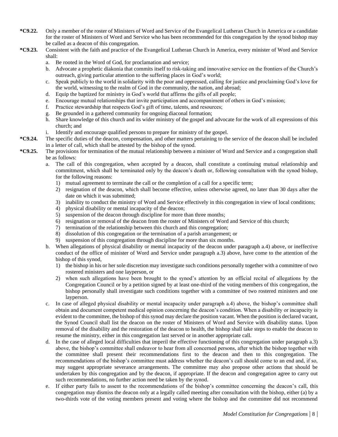- **\*C9.22.** Only a member of the roster of Ministers of Word and Service of the Evangelical Lutheran Church in America or a candidate for the roster of Ministers of Word and Service who has been recommended for this congregation by the synod bishop may be called as a deacon of this congregation.
- **\*C9.23.** Consistent with the faith and practice of the Evangelical Lutheran Church in America, every minister of Word and Service shall:
	- a. Be rooted in the Word of God, for proclamation and service;
	- b. Advocate a prophetic diakonia that commits itself to risk-taking and innovative service on the frontiers of the Church's outreach, giving particular attention to the suffering places in God's world;
	- c. Speak publicly to the world in solidarity with the poor and oppressed, calling for justice and proclaiming God's love for the world, witnessing to the realm of God in the community, the nation, and abroad;
	- d. Equip the baptized for ministry in God's world that affirms the gifts of all people;
	- e. Encourage mutual relationships that invite participation and accompaniment of others in God's mission;
	- f. Practice stewardship that respects God's gift of time, talents, and resources;
	- g. Be grounded in a gathered community for ongoing diaconal formation;
	- h. Share knowledge of this church and its wider ministry of the gospel and advocate for the work of all expressions of this church; and
	- i. Identify and encourage qualified persons to prepare for ministry of the gospel.
- **\*C9.24.** The specific duties of the deacon, compensation, and other matters pertaining to the service of the deacon shall be included in a letter of call, which shall be attested by the bishop of the synod.
- **\*C9.25.** The provisions for termination of the mutual relationship between a minister of Word and Service and a congregation shall be as follows:
	- a. The call of this congregation, when accepted by a deacon, shall constitute a continuing mutual relationship and commitment, which shall be terminated only by the deacon's death or, following consultation with the synod bishop, for the following reasons:
		- 1) mutual agreement to terminate the call or the completion of a call for a specific term;
		- 2) resignation of the deacon, which shall become effective, unless otherwise agreed, no later than 30 days after the date on which it was submitted;
		- 3) inability to conduct the ministry of Word and Service effectively in this congregation in view of local conditions;
		- 4) physical disability or mental incapacity of the deacon;
		- 5) suspension of the deacon through discipline for more than three months;
		- 6) resignation or removal of the deacon from the roster of Ministers of Word and Service of this church;
		- 7) termination of the relationship between this church and this congregation;
		- 8) dissolution of this congregation or the termination of a parish arrangement; or
		- 9) suspension of this congregation through discipline for more than six months.
	- b. When allegations of physical disability or mental incapacity of the deacon under paragraph a.4) above, or ineffective conduct of the office of minister of Word and Service under paragraph a.3) above, have come to the attention of the bishop of this synod,
		- 1) the bishop in his or her sole discretion may investigate such conditions personally together with a committee of two rostered ministers and one layperson, or
		- 2) when such allegations have been brought to the synod's attention by an official recital of allegations by the Congregation Council or by a petition signed by at least one-third of the voting members of this congregation, the bishop personally shall investigate such conditions together with a committee of two rostered ministers and one layperson.
	- c. In case of alleged physical disability or mental incapacity under paragraph a.4) above, the bishop's committee shall obtain and document competent medical opinion concerning the deacon's condition. When a disability or incapacity is evident to the committee, the bishop of this synod may declare the position vacant. When the position is declared vacant, the Synod Council shall list the deacon on the roster of Ministers of Word and Service with disability status. Upon removal of the disability and the restoration of the deacon to health, the bishop shall take steps to enable the deacon to resume the ministry, either in this congregation last served or in another appropriate call.
	- d. In the case of alleged local difficulties that imperil the effective functioning of this congregation under paragraph a.3) above, the bishop's committee shall endeavor to hear from all concerned persons, after which the bishop together with the committee shall present their recommendations first to the deacon and then to this congregation. The recommendations of the bishop's committee must address whether the deacon's call should come to an end and, if so, may suggest appropriate severance arrangements. The committee may also propose other actions that should be undertaken by this congregation and by the deacon, if appropriate. If the deacon and congregation agree to carry out such recommendations, no further action need be taken by the synod.
	- e. If either party fails to assent to the recommendations of the bishop's committee concerning the deacon's call, this congregation may dismiss the deacon only at a legally called meeting after consultation with the bishop, either (a) by a two-thirds vote of the voting members present and voting where the bishop and the committee did not recommend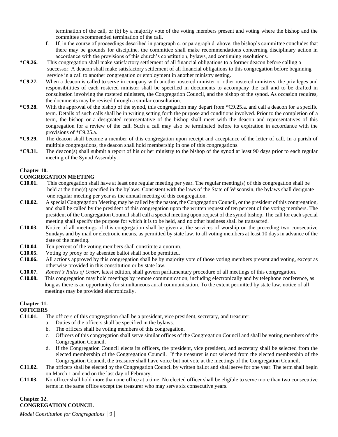termination of the call, or (b) by a majority vote of the voting members present and voting where the bishop and the committee recommended termination of the call.

- f. If, in the course of proceedings described in paragraph c. or paragraph d. above, the bishop's committee concludes that there may be grounds for discipline, the committee shall make recommendations concerning disciplinary action in accordance with the provisions of this church's constitution, bylaws, and continuing resolutions.
- **\*C9.26.** This congregation shall make satisfactory settlement of all financial obligations to a former deacon before calling a successor. A deacon shall make satisfactory settlement of all financial obligations to this congregation before beginning service in a call to another congregation or employment in another ministry setting.
- **\*C9.27.** When a deacon is called to serve in company with another rostered minister or other rostered ministers, the privileges and responsibilities of each rostered minister shall be specified in documents to accompany the call and to be drafted in consultation involving the rostered ministers, the Congregation Council, and the bishop of the synod. As occasion requires, the documents may be revised through a similar consultation.
- **\*C9.28.** With the approval of the bishop of the synod, this congregation may depart from \*C9.25.a. and call a deacon for a specific term. Details of such calls shall be in writing setting forth the purpose and conditions involved. Prior to the completion of a term, the bishop or a designated representative of the bishop shall meet with the deacon and representatives of this congregation for a review of the call. Such a call may also be terminated before its expiration in accordance with the provisions of \*C9.25.a.
- **\*C9.29.** The deacon shall become a member of this congregation upon receipt and acceptance of the letter of call. In a parish of multiple congregations, the deacon shall hold membership in one of this congregations.
- **\*C9.31.** The deacon(s) shall submit a report of his or her ministry to the bishop of the synod at least 90 days prior to each regular meeting of the Synod Assembly.

#### **Chapter 10.**

## **CONGREGATION MEETING**

- **C10.01.** This congregation shall have at least one regular meeting per year. The regular meeting(s) of this congregation shall be held at the time(s) specified in the bylaws. Consistent with the laws of the State of Wisconsin, the bylaws shall designate one regular meeting per year as the annual meeting of this congregation.
- **C10.02.** A special Congregation Meeting may be called by the pastor, the Congregation Council, or the president of this congregation, and shall be called by the president of this congregation upon the written request of ten percent of the voting members. The president of the Congregation Council shall call a special meeting upon request of the synod bishop. The call for each special meeting shall specify the purpose for which it is to be held, and no other business shall be transacted.
- **C10.03.** Notice of all meetings of this congregation shall be given at the services of worship on the preceding two consecutive Sundays and by mail or electronic means, as permitted by state law, to all voting members at least 10 days in advance of the date of the meeting.
- **C10.04.** Ten percent of the voting members shall constitute a quorum.
- **C10.05.** Voting by proxy or by absentee ballot shall not be permitted.
- **C10.06.** All actions approved by this congregation shall be by majority vote of those voting members present and voting, except as otherwise provided in this constitution or by state law.
- **C10.07.** *Robert's Rules of Order*, latest edition, shall govern parliamentary procedure of all meetings of this congregation.
- **C10.08.** This congregation may hold meetings by remote communication, including electronically and by telephone conference, as long as there is an opportunity for simultaneous aural communication. To the extent permitted by state law, notice of all meetings may be provided electronically.

# **Chapter 11.**

# **OFFICERS**

- **C11.01.** The officers of this congregation shall be a president, vice president, secretary, and treasurer.
	- a. Duties of the officers shall be specified in the bylaws.
	- b. The officers shall be voting members of this congregation.
	- c. Officers of this congregation shall serve similar offices of the Congregation Council and shall be voting members of the Congregation Council.
	- d. If the Congregation Council elects its officers, the president, vice president, and secretary shall be selected from the elected membership of the Congregation Council. If the treasurer is not selected from the elected membership of the Congregation Council, the treasurer shall have voice but not vote at the meetings of the Congregation Council.
- **C11.02.** The officers shall be elected by the Congregation Council by written ballot and shall serve for one year. The term shall begin on March 1 and end on the last day of February.
- **C11.03.** No officer shall hold more than one office at a time. No elected officer shall be eligible to serve more than two consecutive terms in the same office except the treasurer who may serve six consecutive years.

# **Chapter 12. CONGREGATION COUNCIL**

*Model Constitution for Congregations |* 9 |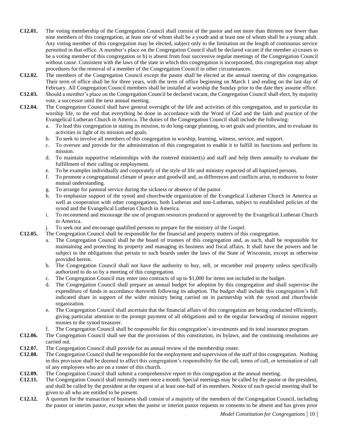- **C12.01.** The voting membership of the Congregation Council shall consist of the pastor and not more than thirteen nor fewer than nine members of this congregation, at least one of whom shall be a youth and at least one of whom shall be a young adult. Any voting member of this congregation may be elected, subject only to the limitation on the length of continuous service permitted in that office. A member's place on the Congregation Council shall be declared vacant if the member a) ceases to be a voting member of this congregation or b) is absent from four successive regular meetings of the Congregation Council without cause. Consistent with the laws of the state in which this congregation is incorporated, this congregation may adopt procedures for the removal of a member of the Congregation Council in other circumstances.
- **C12.02.** The members of the Congregation Council except the pastor shall be elected at the annual meeting of this congregation. Their term of office shall be for three years, with the term of office beginning on March 1 and ending on the last day of February. All Congregation Council members shall be installed at worship the Sunday prior to the date they assume office.
- **C12.03.** Should a member's place on the Congregation Council be declared vacant, the Congregation Council shall elect, by majority vote, a successor until the next annual meeting.
- **C12.04.** The Congregation Council shall have general oversight of the life and activities of this congregation, and in particular its worship life, to the end that everything be done in accordance with the Word of God and the faith and practice of the Evangelical Lutheran Church in America. The duties of the Congregation Council shall include the following:
	- a. To lead this congregation in stating its mission, to do long-range planning, to set goals and priorities, and to evaluate its activities in light of its mission and goals.
	- b. To seek to involve all members of this congregation in worship, learning, witness, service, and support.
	- c. To oversee and provide for the administration of this congregation to enable it to fulfill its functions and perform its mission.
	- d. To maintain supportive relationships with the rostered minister(s) and staff and help them annually to evaluate the fulfillment of their calling or employment.
	- e. To be examples individually and corporately of the style of life and ministry expected of all baptized persons.
	- f. To promote a congregational climate of peace and goodwill and, as differences and conflicts arise, to endeavor to foster mutual understanding.
	- g. To arrange for pastoral service during the sickness or absence of the pastor.
	- h. To emphasize support of the synod and churchwide organization of the Evangelical Lutheran Church in America as well as cooperation with other congregations, both Lutheran and non-Lutheran, subject to established policies of the synod and the Evangelical Lutheran Church in America.
	- i. To recommend and encourage the use of program resources produced or approved by the Evangelical Lutheran Church in America.
	- j. To seek out and encourage qualified persons to prepare for the ministry of the Gospel.
- **C12.05.** The Congregation Council shall be responsible for the financial and property matters of this congregation.
	- a. The Congregation Council shall be the board of trustees of this congregation and, as such, shall be responsible for maintaining and protecting its property and managing its business and fiscal affairs. It shall have the powers and be subject to the obligations that pertain to such boards under the laws of the State of Wisconsin, except as otherwise provided herein.
	- b. The Congregation Council shall not have the authority to buy, sell, or encumber real property unless specifically authorized to do so by a meeting of this congregation.
	- c. The Congregation Council may enter into contracts of up to \$1,000 for items not included in the budget.
	- d. The Congregation Council shall prepare an annual budget for adoption by this congregation and shall supervise the expenditure of funds in accordance therewith following its adoption. The budget shall include this congregation's full indicated share in support of the wider ministry being carried on in partnership with the synod and churchwide organization.
	- e. The Congregation Council shall ascertain that the financial affairs of this congregation are being conducted efficiently, giving particular attention to the prompt payment of all obligations and to the regular forwarding of mission support monies to the synod treasurer.
	- f. The Congregation Council shall be responsible for this congregation's investments and its total insurance program.
- **C12.06.** The Congregation Council shall see that the provisions of this constitution, its bylaws, and the continuing resolutions are carried out.
- **C12.07.** The Congregation Council shall provide for an annual review of the membership roster.
- **C12.08.** The Congregation Council shall be responsible for the employment and supervision of the staff of this congregation. Nothing in this provision shall be deemed to affect this congregation's responsibility for the call, terms of call, or termination of call of any employees who are on a roster of this church.
- **C12.09.** The Congregation Council shall submit a comprehensive report to this congregation at the annual meeting.
- **C12.11.** The Congregation Council shall normally meet once a month. Special meetings may be called by the pastor or the president, and shall be called by the president at the request of at least one-half of its members. Notice of each special meeting shall be given to all who are entitled to be present.
- **C12.12.** A quorum for the transaction of business shall consist of a majority of the members of the Congregation Council, including the pastor or interim pastor, except when the pastor or interim pastor requests or consents to be absent and has given prior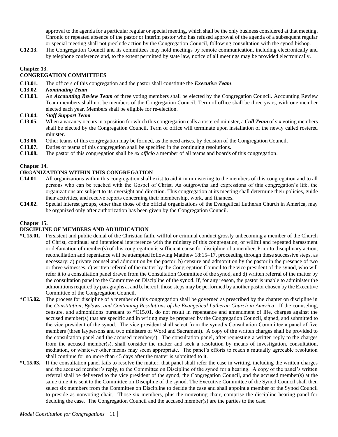approval to the agenda for a particular regular or special meeting, which shall be the only business considered at that meeting. Chronic or repeated absence of the pastor or interim pastor who has refused approval of the agenda of a subsequent regular or special meeting shall not preclude action by the Congregation Council, following consultation with the synod bishop.

**C12.13.** The Congregation Council and its committees may hold meetings by remote communication, including electronically and by telephone conference and, to the extent permitted by state law, notice of all meetings may be provided electronically.

# **Chapter 13.**

## **CONGREGATION COMMITTEES**

- **C13.01.** The officers of this congregation and the pastor shall constitute the *Executive Team*.
- **C13.02.** *Nominating Team*
- **C13.03.** An *Accounting Review Team* of three voting members shall be elected by the Congregation Council. Accounting Review Team members shall not be members of the Congregation Council. Term of office shall be three years, with one member elected each year. Members shall be eligible for re-election.
- **C13.04.** *Staff Support Team*
- **C13.05.** When a vacancy occurs in a position for which this congregation calls a rostered minister, a *Call Team* of six voting members shall be elected by the Congregation Council. Term of office will terminate upon installation of the newly called rostered minister.
- **C13.06.** Other teams of this congregation may be formed, as the need arises, by decision of the Congregation Council.
- **C13.07.** Duties of teams of this congregation shall be specified in the continuing resolutions.
- **C13.08.** The pastor of this congregation shall be *ex officio* a member of all teams and boards of this congregation.

#### **Chapter 14.**

#### **ORGANIZATIONS WITHIN THIS CONGREGATION**

- **C14.01.** All organizations within this congregation shall exist to aid it in ministering to the members of this congregation and to all persons who can be reached with the Gospel of Christ. As outgrowths and expressions of this congregation's life, the organizations are subject to its oversight and direction. This congregation at its meeting shall determine their policies, guide their activities, and receive reports concerning their membership, work, and finances.
- **C14.02.** Special interest groups, other than those of the official organizations of the Evangelical Lutheran Church in America, may be organized only after authorization has been given by the Congregation Council.

#### **Chapter 15.**

## **DISCIPLINE OF MEMBERS AND ADJUDICATION**

- **\*C15.01.** Persistent and public denial of the Christian faith, willful or criminal conduct grossly unbecoming a member of the Church of Christ, continual and intentional interference with the ministry of this congregation, or willful and repeated harassment or defamation of member(s) of this congregation is sufficient cause for discipline of a member. Prior to disciplinary action, reconciliation and repentance will be attempted following Matthew 18:15–17, proceeding through these successive steps, as necessary: a) private counsel and admonition by the pastor, b) censure and admonition by the pastor in the presence of two or three witnesses, c) written referral of the matter by the Congregation Council to the vice president of the synod, who will refer it to a consultation panel drawn from the Consultation Committee of the synod, and d) written referral of the matter by the consultation panel to the Committee on Discipline of the synod. If, for any reason, the pastor is unable to administer the admonitions required by paragraphs a. and b. hereof, those steps may be performed by another pastor chosen by the Executive Committee of the Congregation Council.
- **\*C15.02.** The process for discipline of a member of this congregation shall be governed as prescribed by the chapter on discipline in the *Constitution, Bylaws, and Continuing Resolutions of the Evangelical Lutheran Church in America*. If the counseling, censure, and admonitions pursuant to \*C15.01. do not result in repentance and amendment of life, charges against the accused member(s) that are specific and in writing may be prepared by the Congregation Council, signed, and submitted to the vice president of the synod. The vice president shall select from the synod's Consultation Committee a panel of five members (three laypersons and two ministers of Word and Sacrament). A copy of the written charges shall be provided to the consultation panel and the accused member(s). The consultation panel, after requesting a written reply to the charges from the accused member(s), shall consider the matter and seek a resolution by means of investigation, consultation, mediation, or whatever other means may seem appropriate. The panel's efforts to reach a mutually agreeable resolution shall continue for no more than 45 days after the matter is submitted to it.
- **\*C15.03.** If the consultation panel fails to resolve the matter, that panel shall refer the case in writing, including the written charges and the accused member's reply, to the Committee on Discipline of the synod for a hearing. A copy of the panel's written referral shall be delivered to the vice president of the synod, the Congregation Council, and the accused member(s) at the same time it is sent to the Committee on Discipline of the synod. The Executive Committee of the Synod Council shall then select six members from the Committee on Discipline to decide the case and shall appoint a member of the Synod Council to preside as nonvoting chair. Those six members, plus the nonvoting chair, comprise the discipline hearing panel for deciding the case. The Congregation Council and the accused member(s) are the parties to the case.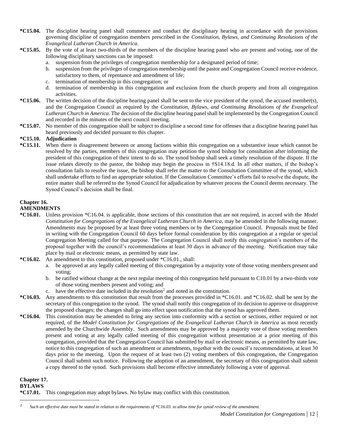- **\*C15.04.** The discipline hearing panel shall commence and conduct the disciplinary hearing in accordance with the provisions governing discipline of congregation members prescribed in the *Constitution, Bylaws, and Continuing Resolutions of the Evangelical Lutheran Church in America.*
- **\*C15.05.** By the vote of at least two-thirds of the members of the discipline hearing panel who are present and voting, one of the following disciplinary sanctions can be imposed:
	- a. suspension from the privileges of congregation membership for a designated period of time;
	- b. suspension from the privileges of congregation membership until the pastor and Congregation Council receive evidence, satisfactory to them, of repentance and amendment of life;
	- c. termination of membership in this congregation; or
	- d. termination of membership in this congregation and exclusion from the church property and from all congregation activities.
- **\*C15.06.** The written decision of the discipline hearing panel shall be sent to the vice president of the synod, the accused member(s), and the Congregation Council as required by the *Constitution, Bylaws, and Continuing Resolutions of the Evangelical Lutheran Church in America*. The decision of the discipline hearing panel shall be implemented by the Congregation Council and recorded in the minutes of the next council meeting.
- **\*C15.07.** No member of this congregation shall be subject to discipline a second time for offenses that a discipline hearing panel has heard previously and decided pursuant to this chapter.

#### **\*C15.10. Adjudication**

**\*C15.11.** When there is disagreement between or among factions within this congregation on a substantive issue which cannot be resolved by the parties, members of this congregation may petition the synod bishop for consultation after informing the president of this congregation of their intent to do so. The synod bishop shall seek a timely resolution of the dispute. If the issue relates directly to the pastor, the bishop may begin the process in †S14.18.d. In all other matters, if the bishop's consultation fails to resolve the issue, the bishop shall refer the matter to the Consultation Committee of the synod, which shall undertake efforts to find an appropriate solution. If the Consultation Committee's efforts fail to resolve the dispute, the entire matter shall be referred to the Synod Council for adjudication by whatever process the Council deems necessary. The Synod Council's decision shall be final.

# **Chapter 16.**

#### **AMENDMENTS**

- **\*C16.01.** Unless provision \*C16.04. is applicable, those sections of this constitution that are not required, in accord with the *Model Constitution for Congregations of the Evangelical Lutheran Church in America*, may be amended in the following manner. Amendments may be proposed by at least three voting members or by the Congregation Council. Proposals must be filed in writing with the Congregation Council 60 days before formal consideration by this congregation at a regular or special Congregation Meeting called for that purpose. The Congregation Council shall notify this congregation's members of the proposal together with the council's recommendations at least 30 days in advance of the meeting. Notification may take place by mail or electronic means, as permitted by state law.
- **\*C16.02.** An amendment to this constitution, proposed under \*C16.01., shall:
	- a. be approved at any legally called meeting of this congregation by a majority vote of those voting members present and voting;
	- b. be ratified without change at the next regular meeting of this congregation held pursuant to C10.01 by a two-thirds vote of those voting members present and voting; and
	- c. have the effective date included in the resolution<sup>2</sup> and noted in the constitution.
- **\*C16.03.** Any amendments to this constitution that result from the processes provided in \*C16.01. and \*C16.02. shall be sent by the secretary of this congregation to the synod. The synod shall notify this congregation of its decision to approve or disapprove the proposed changes; the changes shall go into effect upon notification that the synod has approved them.
- **\*C16.04.** This constitution may be amended to bring any section into conformity with a section or sections, either required or not required, of the *Model Constitution for Congregations of the Evangelical Lutheran Church in America* as most recently amended by the Churchwide Assembly. Such amendments may be approved by a majority vote of those voting members present and voting at any legally called meeting of this congregation without presentation at a prior meeting of this congregation, provided that the Congregation Council has submitted by mail or electronic means, as permitted by state law, notice to this congregation of such an amendment or amendments, together with the council's recommendations, at least 30 days prior to the meeting. Upon the request of at least two (2) voting members of this congregation, the Congregation Council shall submit such notice. Following the adoption of an amendment, the secretary of this congregation shall submit a copy thereof to the synod. Such provisions shall become effective immediately following a vote of approval.

#### **Chapter 17.**

#### **BYLAWS**

**<sup>\*</sup>C17.01.** This congregation may adopt bylaws. No bylaw may conflict with this constitution.

<sup>2</sup> *Such an effective date must be stated in relation to the requirements of \*C16.03. to allow time for synod review of the amendment.*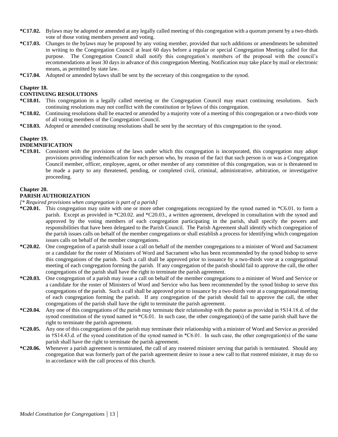- **\*C17.02.** Bylaws may be adopted or amended at any legally called meeting of this congregation with a quorum present by a two-thirds vote of those voting members present and voting.
- **\*C17.03.** Changes to the bylaws may be proposed by any voting member, provided that such additions or amendments be submitted in writing to the Congregation Council at least 60 days before a regular or special Congregation Meeting called for that purpose. The Congregation Council shall notify this congregation's members of the proposal with the council's recommendations at least 30 days in advance of this congregation Meeting. Notification may take place by mail or electronic means, as permitted by state law.
- **\*C17.04.** Adopted or amended bylaws shall be sent by the secretary of this congregation to the synod.

#### **Chapter 18.**

#### **CONTINUING RESOLUTIONS**

- **\*C18.01.** This congregation in a legally called meeting or the Congregation Council may enact continuing resolutions. Such continuing resolutions may not conflict with the constitution or bylaws of this congregation.
- **\*C18.02.** Continuing resolutions shall be enacted or amended by a majority vote of a meeting of this congregation or a two-thirds vote of all voting members of the Congregation Council.
- **\*C18.03.** Adopted or amended continuing resolutions shall be sent by the secretary of this congregation to the synod.

#### **Chapter 19.**

#### **INDEMNIFICATION**

**\*C19.01.** Consistent with the provisions of the laws under which this congregation is incorporated, this congregation may adopt provisions providing indemnification for each person who, by reason of the fact that such person is or was a Congregation Council member, officer, employee, agent, or other member of any committee of this congregation, was or is threatened to be made a party to any threatened, pending, or completed civil, criminal, administrative, arbitration, or investigative proceeding.

#### **Chapter 20.**

#### **PARISH AUTHORIZATION**

*[\* Required provisions when congregation is part of a parish]*

- **\*C20.01.** This congregation may unite with one or more other congregations recognized by the synod named in \*C6.01. to form a parish. Except as provided in \*C20.02. and \*C20.03., a written agreement, developed in consultation with the synod and approved by the voting members of each congregation participating in the parish, shall specify the powers and responsibilities that have been delegated to the Parish Council. The Parish Agreement shall identify which congregation of the parish issues calls on behalf of the member congregations or shall establish a process for identifying which congregation issues calls on behalf of the member congregations.
- **\*C20.02.** One congregation of a parish shall issue a call on behalf of the member congregations to a minister of Word and Sacrament or a candidate for the roster of Ministers of Word and Sacrament who has been recommended by the synod bishop to serve this congregations of the parish. Such a call shall be approved prior to issuance by a two-thirds vote at a congregational meeting of each congregation forming the parish. If any congregation of the parish should fail to approve the call, the other congregations of the parish shall have the right to terminate the parish agreement.
- **\*C20.03.** One congregation of a parish may issue a call on behalf of the member congregations to a minister of Word and Service or a candidate for the roster of Ministers of Word and Service who has been recommended by the synod bishop to serve this congregations of the parish. Such a call shall be approved prior to issuance by a two-thirds vote at a congregational meeting of each congregation forming the parish. If any congregation of the parish should fail to approve the call, the other congregations of the parish shall have the right to terminate the parish agreement.
- **\*C20.04.** Any one of this congregations of the parish may terminate their relationship with the pastor as provided in †S14.18.d. of the synod constitution of the synod named in \*C6.01. In such case, the other congregation(s) of the same parish shall have the right to terminate the parish agreement.
- **\*C20.05.** Any one of this congregations of the parish may terminate their relationship with a minister of Word and Service as provided in †S14.43.d. of the synod constitution of the synod named in \*C6.01. In such case, the other congregation(s) of the same parish shall have the right to terminate the parish agreement.
- **\*C20.06.** Whenever a parish agreement is terminated, the call of any rostered minister serving that parish is terminated. Should any congregation that was formerly part of the parish agreement desire to issue a new call to that rostered minister, it may do so in accordance with the call process of this church.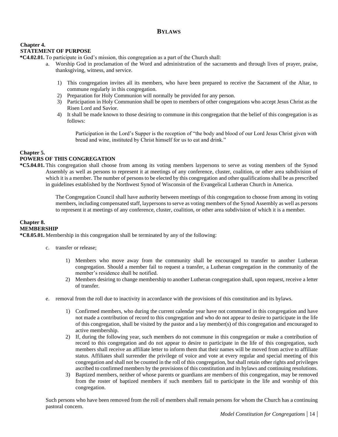# **BYLAWS**

# **Chapter 4. STATEMENT OF PURPOSE**

**\*C4.02.01.** To participate in God's mission, this congregation as a part of the Church shall:

- a. Worship God in proclamation of the Word and administration of the sacraments and through lives of prayer, praise, thanksgiving, witness, and service.
	- 1) This congregation invites all its members, who have been prepared to receive the Sacrament of the Altar, to commune regularly in this congregation.
	- 2) Preparation for Holy Communion will normally be provided for any person.
	- 3) Participation in Holy Communion shall be open to members of other congregations who accept Jesus Christ as the Risen Lord and Savior.
	- 4) It shall be made known to those desiring to commune in this congregation that the belief of this congregation is as follows:

Participation in the Lord's Supper is the reception of "the body and blood of our Lord Jesus Christ given with bread and wine, instituted by Christ himself for us to eat and drink."

## **Chapter 5.**

# **POWERS OF THIS CONGREGATION**

**\*C5.04.01.** This congregation shall choose from among its voting members laypersons to serve as voting members of the Synod Assembly as well as persons to represent it at meetings of any conference, cluster, coalition, or other area subdivision of which it is a member. The number of persons to be elected by this congregation and other qualifications shall be as prescribed in guidelines established by the Northwest Synod of Wisconsin of the Evangelical Lutheran Church in America.

> The Congregation Council shall have authority between meetings of this congregation to choose from among its voting members, including compensated staff, laypersons to serve as voting members of the Synod Assembly as well as persons to represent it at meetings of any conference, cluster, coalition, or other area subdivision of which it is a member.

#### **Chapter 8. MEMBERSHIP**

**\*C8.05.01.** Membership in this congregation shall be terminated by any of the following:

- c. transfer or release;
	- 1) Members who move away from the community shall be encouraged to transfer to another Lutheran congregation. Should a member fail to request a transfer, a Lutheran congregation in the community of the member's residence shall be notified.
	- 2) Members desiring to change membership to another Lutheran congregation shall, upon request, receive a letter of transfer.
- e. removal from the roll due to inactivity in accordance with the provisions of this constitution and its bylaws.
	- 1) Confirmed members, who during the current calendar year have not communed in this congregation and have not made a contribution of record to this congregation and who do not appear to desire to participate in the life of this congregation, shall be visited by the pastor and a lay member(s) of this congregation and encouraged to active membership.
	- 2) If, during the following year, such members do not commune in this congregation or make a contribution of record to this congregation and do not appear to desire to participate in the life of this congregation, such members shall receive an affiliate letter to inform them that their names will be moved from active to affiliate status. Affiliates shall surrender the privilege of voice and vote at every regular and special meeting of this congregation and shall not be counted in the roll of this congregation, but shall retain other rights and privileges ascribed to confirmed members by the provisions of this constitution and its bylaws and continuing resolutions.
	- 3) Baptized members, neither of whose parents or guardians are members of this congregation, may be removed from the roster of baptized members if such members fail to participate in the life and worship of this congregation.

Such persons who have been removed from the roll of members shall remain persons for whom the Church has a continuing pastoral concern.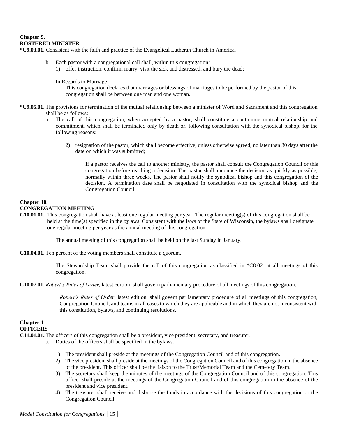# **Chapter 9. ROSTERED MINISTER**

**\*C9.03.01.** Consistent with the faith and practice of the Evangelical Lutheran Church in America,

- b. Each pastor with a congregational call shall, within this congregation: 1) offer instruction, confirm, marry, visit the sick and distressed, and bury the dead;
	- In Regards to Marriage

This congregation declares that marriages or blessings of marriages to be performed by the pastor of this congregation shall be between one man and one woman.

- **\*C9.05.01.** The provisions for termination of the mutual relationship between a minister of Word and Sacrament and this congregation shall be as follows:
	- a. The call of this congregation, when accepted by a pastor, shall constitute a continuing mutual relationship and commitment, which shall be terminated only by death or, following consultation with the synodical bishop, for the following reasons:
		- 2) resignation of the pastor, which shall become effective, unless otherwise agreed, no later than 30 days after the date on which it was submitted;

If a pastor receives the call to another ministry, the pastor shall consult the Congregation Council or this congregation before reaching a decision. The pastor shall announce the decision as quickly as possible, normally within three weeks. The pastor shall notify the synodical bishop and this congregation of the decision. A termination date shall be negotiated in consultation with the synodical bishop and the Congregation Council.

## **Chapter 10.**

#### **CONGREGATION MEETING**

**C10.01.01.** This congregation shall have at least one regular meeting per year. The regular meeting(s) of this congregation shall be held at the time(s) specified in the bylaws. Consistent with the laws of the State of Wisconsin, the bylaws shall designate one regular meeting per year as the annual meeting of this congregation.

The annual meeting of this congregation shall be held on the last Sunday in January.

**C10.04.01.** Ten percent of the voting members shall constitute a quorum.

The Stewardship Team shall provide the roll of this congregation as classified in \*C8.02. at all meetings of this congregation.

**C10.07.01.** *Robert's Rules of Order*, latest edition, shall govern parliamentary procedure of all meetings of this congregation.

*Robert's Rules of Order*, latest edition, shall govern parliamentary procedure of all meetings of this congregation, Congregation Council, and teams in all cases to which they are applicable and in which they are not inconsistent with this constitution, bylaws, and continuing resolutions.

**Chapter 11. OFFICERS**

**C11.01.01.** The officers of this congregation shall be a president, vice president, secretary, and treasurer.

- a. Duties of the officers shall be specified in the bylaws.
	- 1) The president shall preside at the meetings of the Congregation Council and of this congregation.
	- 2) The vice president shall preside at the meetings of the Congregation Council and of this congregation in the absence of the president. This officer shall be the liaison to the Trust/Memorial Team and the Cemetery Team.
	- 3) The secretary shall keep the minutes of the meetings of the Congregation Council and of this congregation. This officer shall preside at the meetings of the Congregation Council and of this congregation in the absence of the president and vice president.
	- 4) The treasurer shall receive and disburse the funds in accordance with the decisions of this congregation or the Congregation Council.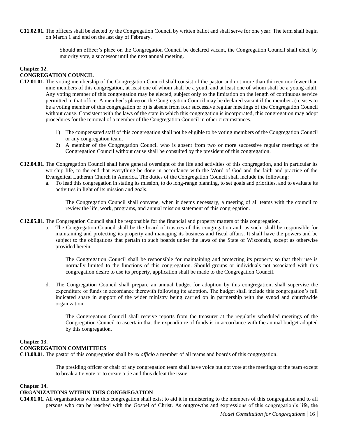**C11.02.01.** The officers shall be elected by the Congregation Council by written ballot and shall serve for one year. The term shall begin on March 1 and end on the last day of February.

> Should an officer's place on the Congregation Council be declared vacant, the Congregation Council shall elect, by majority vote, a successor until the next annual meeting.

# **Chapter 12. CONGREGATION COUNCIL**

- **C12.01.01.** The voting membership of the Congregation Council shall consist of the pastor and not more than thirteen nor fewer than nine members of this congregation, at least one of whom shall be a youth and at least one of whom shall be a young adult. Any voting member of this congregation may be elected, subject only to the limitation on the length of continuous service permitted in that office. A member's place on the Congregation Council may be declared vacant if the member a) ceases to be a voting member of this congregation or b) is absent from four successive regular meetings of the Congregation Council without cause. Consistent with the laws of the state in which this congregation is incorporated, this congregation may adopt procedures for the removal of a member of the Congregation Council in other circumstances.
	- 1) The compensated staff of this congregation shall not be eligible to be voting members of the Congregation Council or any congregation team.
	- 2) A member of the Congregation Council who is absent from two or more successive regular meetings of the Congregation Council without cause shall be consulted by the president of this congregation.
- **C12.04.01.** The Congregation Council shall have general oversight of the life and activities of this congregation, and in particular its worship life, to the end that everything be done in accordance with the Word of God and the faith and practice of the Evangelical Lutheran Church in America. The duties of the Congregation Council shall include the following:
	- a. To lead this congregation in stating its mission, to do long-range planning, to set goals and priorities, and to evaluate its activities in light of its mission and goals.

The Congregation Council shall convene, when it deems necessary, a meeting of all teams with the council to review the life, work, programs, and annual mission statement of this congregation.

**C12.05.01.** The Congregation Council shall be responsible for the financial and property matters of this congregation.

a. The Congregation Council shall be the board of trustees of this congregation and, as such, shall be responsible for maintaining and protecting its property and managing its business and fiscal affairs. It shall have the powers and be subject to the obligations that pertain to such boards under the laws of the State of Wisconsin, except as otherwise provided herein.

The Congregation Council shall be responsible for maintaining and protecting its property so that their use is normally limited to the functions of this congregation. Should groups or individuals not associated with this congregation desire to use its property, application shall be made to the Congregation Council.

d. The Congregation Council shall prepare an annual budget for adoption by this congregation, shall supervise the expenditure of funds in accordance therewith following its adoption. The budget shall include this congregation's full indicated share in support of the wider ministry being carried on in partnership with the synod and churchwide organization.

The Congregation Council shall receive reports from the treasurer at the regularly scheduled meetings of the Congregation Council to ascertain that the expenditure of funds is in accordance with the annual budget adopted by this congregation.

# **Chapter 13. CONGREGATION COMMITTEES**

**C13.08.01.** The pastor of this congregation shall be *ex officio* a member of all teams and boards of this congregation.

The presiding officer or chair of any congregation team shall have voice but not vote at the meetings of the team except to break a tie vote or to create a tie and thus defeat the issue.

#### **Chapter 14.**

#### **ORGANIZATIONS WITHIN THIS CONGREGATION**

**C14.01.01.** All organizations within this congregation shall exist to aid it in ministering to the members of this congregation and to all persons who can be reached with the Gospel of Christ. As outgrowths and expressions of this congregation's life, the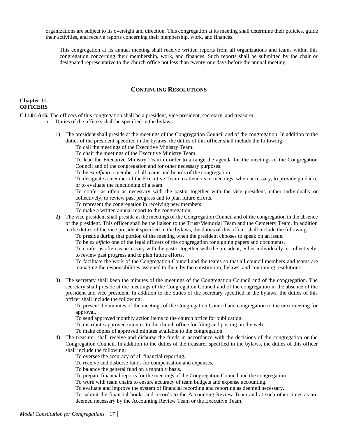organizations are subject to its oversight and direction. This congregation at its meeting shall determine their policies, guide their activities, and receive reports concerning their membership, work, and finances.

This congregation at its annual meeting shall receive written reports from all organizations and teams within this congregation concerning their membership, work, and finances. Such reports shall be submitted by the chair or designated representative to the church office not less than twenty-one days before the annual meeting.

# **CONTINUING RESOLUTIONS**

## **Chapter 11. OFFICERS**

**C11.01.A16.** The officers of this congregation shall be a president, vice president, secretary, and treasurer.

- a. Duties of the officers shall be specified in the bylaws.
	- 1) The president shall preside at the meetings of the Congregation Council and of the congregation. In addition to the duties of the president specified in the bylaws, the duties of this officer shall include the following:

To call the meetings of the Executive Ministry Team.

To chair the meetings of the Executive Ministry Team.

To lead the Executive Ministry Team in order to arrange the agenda for the meetings of the Congregation Council and of the congregation and for other necessary purposes.

To be *ex officio* a member of all teams and boards of the congregation.

To designate a member of the Executive Team to attend team meetings, when necessary, to provide guidance or to evaluate the functioning of a team.

To confer as often as necessary with the pastor together with the vice president, either individually or collectively, to review past progress and to plan future efforts.

To represent the congregation in receiving new members.

To make a written annual report to the congregation.

2) The vice president shall preside at the meetings of the Congregation Council and of the congregation in the absence of the president. This officer shall be the liaison to the Trust/Memorial Team and the Cemetery Team. In addition to the duties of the vice president specified in the bylaws, the duties of this officer shall include the following:

To preside during that portion of the meeting when the president chooses to speak on an issue.

To be *ex officio* one of the legal officers of the congregation for signing papers and documents.

To confer as often as necessary with the pastor together with the president, either individually or collectively, to review past progress and to plan future efforts.

To facilitate the work of the Congregation Council and the teams so that all council members and teams are managing the responsibilities assigned to them by the constitution, bylaws, and continuing resolutions.

3) The secretary shall keep the minutes of the meetings of the Congregation Council and of the congregation. The secretary shall preside at the meetings of the Congregation Council and of the congregation in the absence of the president and vice president. In addition to the duties of the secretary specified in the bylaws, the duties of this officer shall include the following:

To present the minutes of the meetings of the Congregation Council and congregation to the next meeting for approval.

To send approved monthly action items to the church office for publication.

To distribute approved minutes to the church office for filing and posting on the web.

To make copies of approved minutes available to the congregation.

4) The treasurer shall receive and disburse the funds in accordance with the decisions of the congregation or the Congregation Council. In addition to the duties of the treasurer specified in the bylaws, the duties of this officer shall include the following:

To oversee the accuracy of all financial reporting.

To receive and disburse funds for compensation and expenses.

To balance the general fund on a monthly basis.

To prepare financial reports for the meetings of the Congregation Council and the congregation.

To work with team chairs to ensure accuracy of team budgets and expense accounting.

To evaluate and improve the system of financial recording and reporting as deemed necessary.

To submit the financial books and records to the Accounting Review Team and at such other times as are deemed necessary by the Accounting Review Team or the Executive Team.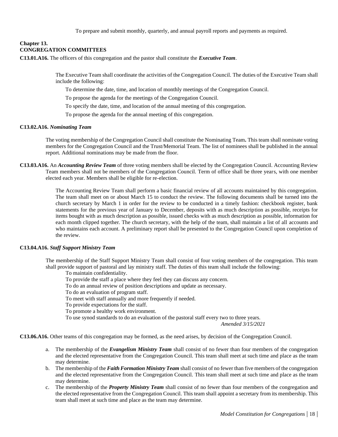To prepare and submit monthly, quarterly, and annual payroll reports and payments as required.

# **Chapter 13. CONGREGATION COMMITTEES**

**C13.01.A16.** The officers of this congregation and the pastor shall constitute the *Executive Team*.

The Executive Team shall coordinate the activities of the Congregation Council. The duties of the Executive Team shall include the following:

To determine the date, time, and location of monthly meetings of the Congregation Council.

To propose the agenda for the meetings of the Congregation Council.

To specify the date, time, and location of the annual meeting of this congregation.

To propose the agenda for the annual meeting of this congregation.

#### **C13.02.A16.** *Nominating Team*

The voting membership of the Congregation Council shall constitute the Nominating Team*.* This team shall nominate voting members for the Congregation Council and the Trust/Memorial Team. The list of nominees shall be published in the annual report. Additional nominations may be made from the floor.

**C13.03.A16.** An *Accounting Review Team* of three voting members shall be elected by the Congregation Council. Accounting Review Team members shall not be members of the Congregation Council. Term of office shall be three years, with one member elected each year. Members shall be eligible for re-election.

> The Accounting Review Team shall perform a basic financial review of all accounts maintained by this congregation. The team shall meet on or about March 15 to conduct the review. The following documents shall be turned into the church secretary by March 1 in order for the review to be conducted in a timely fashion: checkbook register, bank statements for the previous year of January to December, deposits with as much description as possible, receipts for items bought with as much description as possible, issued checks with as much description as possible, information for each month clipped together. The church secretary, with the help of the team, shall maintain a list of all accounts and who maintains each account. A preliminary report shall be presented to the Congregation Council upon completion of the review.

#### **C13.04.A16.** *Staff Support Ministry Team*

The membership of the Staff Support Ministry Team shall consist of four voting members of the congregation. This team shall provide support of pastoral and lay ministry staff. The duties of this team shall include the following:

To maintain confidentiality.

- To provide the staff a place where they feel they can discuss any concern.
- To do an annual review of position descriptions and update as necessary.
- To do an evaluation of program staff.
- To meet with staff annually and more frequently if needed.
- To provide expectations for the staff.
- To promote a healthy work environment.

To use synod standards to do an evaluation of the pastoral staff every two to three years.

*Amended 3/15/2021*

**C13.06.A16.** Other teams of this congregation may be formed, as the need arises, by decision of the Congregation Council.

- a. The membership of the *Evangelism Ministry Team* shall consist of no fewer than four members of the congregation and the elected representative from the Congregation Council. This team shall meet at such time and place as the team may determine.
- b. The membership of the *Faith Formation Ministry Team* shall consist of no fewer than five members of the congregation and the elected representative from the Congregation Council. This team shall meet at such time and place as the team may determine.
- c. The membership of the *Property Ministry Team* shall consist of no fewer than four members of the congregation and the elected representative from the Congregation Council. This team shall appoint a secretary from its membership. This team shall meet at such time and place as the team may determine.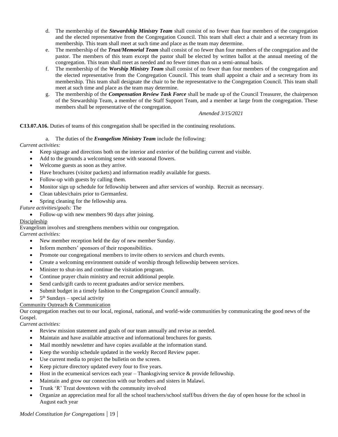- d. The membership of the *Stewardship Ministry Team* shall consist of no fewer than four members of the congregation and the elected representative from the Congregation Council. This team shall elect a chair and a secretary from its membership. This team shall meet at such time and place as the team may determine.
- e. The membership of the *Trust/Memorial Team* shall consist of no fewer than four members of the congregation and the pastor. The members of this team except the pastor shall be elected by written ballot at the annual meeting of the congregation. This team shall meet as needed and no fewer times than on a semi-annual basis.
- f. The membership of the *Worship Ministry Team* shall consist of no fewer than four members of the congregation and the elected representative from the Congregation Council. This team shall appoint a chair and a secretary from its membership. This team shall designate the chair to be the representative to the Congregation Council. This team shall meet at such time and place as the team may determine.
- g. The membership of the *Compensation Review Task Force* shall be made up of the Council Treasurer, the chairperson of the Stewardship Team, a member of the Staff Support Team, and a member at large from the congregation. These members shall be representative of the congregation.

#### *Amended 3/15/2021*

**C13.07.A16.** Duties of teams of this congregation shall be specified in the continuing resolutions.

#### a. The duties of the *Evangelism Ministry Team* include the following:

# *Current activities:*

- Keep signage and directions both on the interior and exterior of the building current and visible.
- Add to the grounds a welcoming sense with seasonal flowers.
- Welcome guests as soon as they arrive.
- Have brochures (visitor packets) and information readily available for guests.
- Follow-up with guests by calling them.
- Monitor sign up schedule for fellowship between and after services of worship. Recruit as necessary.
- Clean tables/chairs prior to Germanfest.
- Spring cleaning for the fellowship area.

## *Future activities/goals:* The

• Follow-up with new members 90 days after joining.

# Discipleship

Evangelism involves and strengthens members within our congregation.

#### *Current activities:*

- New member reception held the day of new member Sunday.
- Inform members' sponsors of their responsibilities.
- Promote our congregational members to invite others to services and church events.
- Create a welcoming environment outside of worship through fellowship between services.
- Minister to shut-ins and continue the visitation program.
- Continue prayer chain ministry and recruit additional people.
- Send cards/gift cards to recent graduates and/or service members.
- Submit budget in a timely fashion to the Congregation Council annually.
- $5<sup>th</sup>$  Sundays special activity

# Community Outreach & Communication

Our congregation reaches out to our local, regional, national, and world-wide communities by communicating the good news of the Gospel.

#### *Current activities:*

- Review mission statement and goals of our team annually and revise as needed.
- Maintain and have available attractive and informational brochures for guests.
- Mail monthly newsletter and have copies available at the information stand.
- Keep the worship schedule updated in the weekly Record Review paper.
- Use current media to project the bulletin on the screen.
- Keep picture directory updated every four to five years.
- Host in the ecumenical services each year Thanksgiving service  $\&$  provide fellowship.
- Maintain and grow our connection with our brothers and sisters in Malawi.
- Trunk 'R' Treat downtown with the community involved
- Organize an appreciation meal for all the school teachers/school staff/bus drivers the day of open house for the school in August each year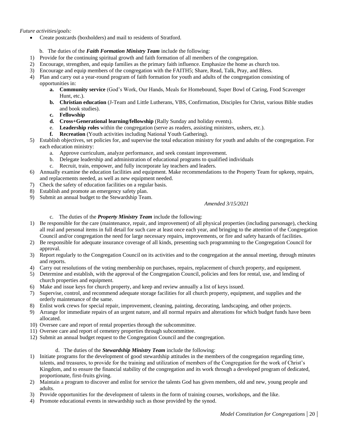*Future activities/goals:*

- Create postcards (boxholders) and mail to residents of Stratford.
	- b. The duties of the *Faith Formation Ministry Team* include the following:
- 1) Provide for the continuing spiritual growth and faith formation of all members of the congregation.
- 2) Encourage, strengthen, and equip families as the primary faith influence. Emphasize the home as church too.
- 3) Encourage and equip members of the congregation with the FAITH5; Share, Read, Talk, Pray, and Bless.
- 4) Plan and carry out a year-round program of faith formation for youth and adults of the congregation consisting of opportunities in:
	- **a. Community service** (God's Work, Our Hands, Meals for Homebound, Super Bowl of Caring, Food Scavenger Hunt, etc.).
	- **b. Christian education** (J-Team and Little Lutherans, VBS, Confirmation, Disciples for Christ, various Bible studies and book studies).
	- **c. Fellowship**
	- **d. Cross+Generational learning/fellowship** (Rally Sunday and holiday events).
	- e. **Leadership roles** within the congregation (serve as readers, assisting ministers, ushers, etc.).
		- **f. Recreation** (Youth activities including National Youth Gathering).
- 5) Establish objectives, set policies for, and supervise the total education ministry for youth and adults of the congregation. For each education ministry:
	- a. Approve curriculum, analyze performance, and seek constant improvement.
	- b. Delegate leadership and administration of educational programs to qualified individuals
	- c. Recruit, train, empower, and fully incorporate lay teachers and leaders.
- 6) Annually examine the education facilities and equipment. Make recommendations to the Property Team for upkeep, repairs, and replacements needed, as well as new equipment needed.
- 7) Check the safety of education facilities on a regular basis.
- 8) Establish and promote an emergency safety plan.
- 9) Submit an annual budget to the Stewardship Team.

#### *Amended 3/15/2021*

c. The duties of the *Property Ministry Team* include the following:

- 1) Be responsible for the care (maintenance, repair, and improvement) of all physical properties (including parsonage), checking all real and personal items in full detail for such care at least once each year, and bringing to the attention of the Congregation Council and/or congregation the need for large necessary repairs, improvements, or fire and safety hazards of facilities.
- 2) Be responsible for adequate insurance coverage of all kinds, presenting such programming to the Congregation Council for approval.
- 3) Report regularly to the Congregation Council on its activities and to the congregation at the annual meeting, through minutes and reports.
- 4) Carry out resolutions of the voting membership on purchases, repairs, replacement of church property, and equipment.
- 5) Determine and establish, with the approval of the Congregation Council, policies and fees for rental, use, and lending of church properties and equipment.
- 6) Make and issue keys for church property, and keep and review annually a list of keys issued.
- 7) Supervise, control, and recommend adequate storage facilities for all church property, equipment, and supplies and the orderly maintenance of the same.
- 8) Enlist work crews for special repair, improvement, cleaning, painting, decorating, landscaping, and other projects.
- 9) Arrange for immediate repairs of an urgent nature, and all normal repairs and alterations for which budget funds have been allocated.
- 10) Oversee care and report of rental properties through the subcommittee.
- 11) Oversee care and report of cemetery properties through subcommittee.
- 12) Submit an annual budget request to the Congregation Council and the congregation.

#### d. The duties of the *Stewardship Ministry Team* include the following:

- 1) Initiate programs for the development of good stewardship attitudes in the members of the congregation regarding time, talents, and treasures, to provide for the training and utilization of members of the Congregation for the work of Christ's Kingdom, and to ensure the financial stability of the congregation and its work through a developed program of dedicated, proportionate, first-fruits giving.
- 2) Maintain a program to discover and enlist for service the talents God has given members, old and new, young people and adults.
- 3) Provide opportunities for the development of talents in the form of training courses, workshops, and the like.
- 4) Promote educational events in stewardship such as those provided by the synod.